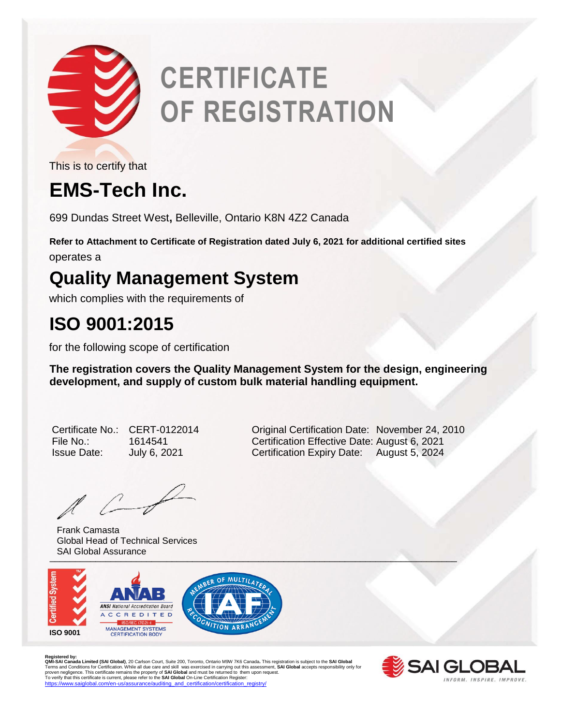

# **CERTIFICATE OF REGISTRATION**

This is to certify that

## **EMS-Tech Inc.**

699 Dundas Street West**,** Belleville, Ontario K8N 4Z2 Canada

**Refer to Attachment to Certificate of Registration dated July 6, 2021 for additional certified sites** operates a

### **Quality Management System**

which complies with the requirements of

### **ISO 9001:2015**

for the following scope of certification

**The registration covers the Quality Management System for the design, engineering development, and supply of custom bulk material handling equipment.** 

| Certificate No     |
|--------------------|
| File No.:          |
| <b>Issue Date:</b> |

 $\ell$ 

University of the contract of the contract of the contract of the contract of the contract of the contract of Frank Camasta Global Head of Technical Services SAI Global Assurance



Registered by:<br>**QMI-SA Landa Limited (SAI Global)**, 20 Carlson Court, Suite 200, Toronto, Ontario M9W 7K6 Canada. This registration is subject to the **SAI Global**<br>Terms and Conditions for Certification. While all due care



CERT-0122014 **Original Certification Date: November 24, 2010** File No.: 1614541 Certification Effective Date: August 6, 2021 July 6, 2021 **Certification Expiry Date:** August 5, 2024